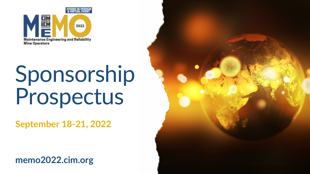

# Sponsorship Prospectus

**September 18-21, 2022**

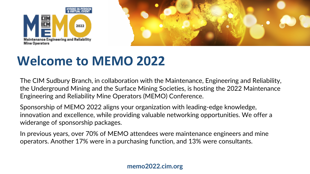



# **Welcome to MEMO 2022**

The CIM Sudbury Branch, in collaboration with the Maintenance, Engineering and Reliability, the Underground Mining and the Surface Mining Societies, is hosting the 2022 Maintenance Engineering and Reliability Mine Operators (MEMO) Conference.

Sponsorship of MEMO 2022 aligns your organization with leading-edge knowledge, innovation and excellence, while providing valuable networking opportunities. We offer a widerange of sponsorship packages.

In previous years, over 70% of MEMO attendees were maintenance engineers and mine operators. Another 17% were in a purchasing function, and 13% were consultants.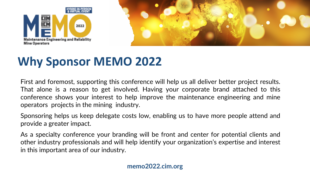



### **Why Sponsor MEMO 2022**

First and foremost, supporting this conference will help us all deliver better project results. That alone is a reason to get involved. Having your corporate brand attached to this conference shows your interest to help improve the maintenance engineering and mine operators projects in the mining industry.

Sponsoring helps us keep delegate costs low, enabling us to have more people attend and provide a greater impact.

As a specialty conference your branding will be front and center for potential clients and other industry professionals and will help identify your organization's expertise and interest in this important area of our industry.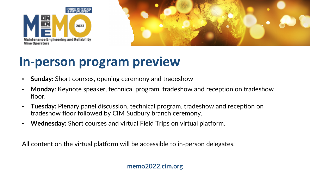



### **In-person program preview**

- **Sunday:** Short courses, opening ceremony and tradeshow
- **Monday**: Keynote speaker, technical program, tradeshow and reception on tradeshow floor.
- **Tuesday:** Plenary panel discussion, technical program, tradeshow and reception on tradeshow floor followed by CIM Sudbury branch ceremony.
- **Wednesday:** Short courses and virtual Field Trips on virtual platform.

All content on the virtual platform will be accessible to in-person delegates.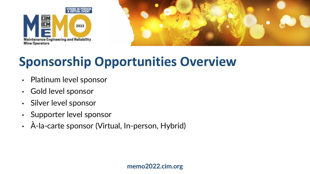



# **Sponsorship Opportunities Overview**

- Platinum level sponsor
- Gold level sponsor
- Silver level sponsor
- Supporter level sponsor
- À-la-carte sponsor (Virtual, In-person, Hybrid)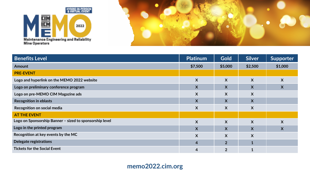



| <b>Benefits Level</b>                                   | <b>Platinum</b> | <b>Gold</b>      | <b>Silver</b>           | Supporter                 |
|---------------------------------------------------------|-----------------|------------------|-------------------------|---------------------------|
| <b>Amount</b>                                           | \$7,500         | \$5,000          | \$2,500                 | \$1,000                   |
| <b>PRE-EVENT</b>                                        |                 |                  |                         |                           |
| Logo and hyperlink on the MEMO 2022 website             | X               | $\boldsymbol{X}$ | X                       | X                         |
| Logo on preliminary conference program                  | X               | X                | X                       | $\boldsymbol{X}$          |
| Logo on pre-MEMO CIM Magazine ads                       | X               | X                | X                       |                           |
| <b>Recognition in eblasts</b>                           | X               | X                | X                       |                           |
| Recognition on social media                             | X               | X                | X                       |                           |
| <b>AT THE EVENT</b>                                     |                 |                  |                         |                           |
| Logo on Sponsorship Banner - sized to sponsorship level | X               | X                | X                       | X                         |
| Logo in the printed program                             | X               | X                | $\overline{\mathsf{X}}$ | $\boldsymbol{\mathsf{X}}$ |
| Recognition at key events by the MC                     | X               | X                | X                       |                           |
| <b>Delegate registrations</b>                           | $\overline{4}$  | 2 <sup>1</sup>   |                         |                           |
| <b>Tickets for the Social Event</b>                     | 4               | $\overline{2}$   |                         |                           |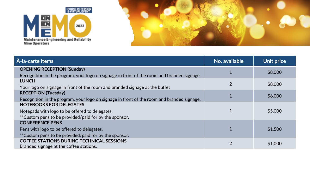



| À-la-carte items                                                                           | No. available  | Unit price |
|--------------------------------------------------------------------------------------------|----------------|------------|
| <b>OPENING RECEPTION (Sunday)</b>                                                          |                | \$8,000    |
| Recognition in the program, your logo on signage in front of the room and branded signage. |                |            |
| <b>LUNCH</b>                                                                               | 2              | \$8,000    |
| Your logo on signage in front of the room and branded signage at the buffet                |                |            |
| <b>RECEPTION (Tuesday)</b>                                                                 |                |            |
| Recognition in the program, your logo on signage in front of the room and branded signage. |                | \$6,000    |
| <b>NOTEBOOKS FOR DELEGATES</b>                                                             |                |            |
| Notepads with logo to be offered to delegates.                                             |                | \$5,000    |
| ** Custom pens to be provided/paid for by the sponsor.                                     |                |            |
| <b>CONFERENCE PENS</b>                                                                     |                |            |
| Pens with logo to be offered to delegates.                                                 |                | \$1,500    |
| ** Custom pens to be provided/paid for by the sponsor.                                     |                |            |
| <b>COFFEE STATIONS DURING TECHNICAL SESSIONS</b>                                           | $\overline{2}$ | \$1,000    |
| Branded signage at the coffee stations.                                                    |                |            |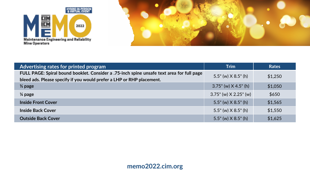



| Advertising rates for printed program                                                     | <b>Trim</b>                    | <b>Rates</b> |
|-------------------------------------------------------------------------------------------|--------------------------------|--------------|
| FULL PAGE: Spiral bound booklet. Consider a .75-inch spine unsafe text area for full page | $5.5"$ (w) $X$ 8.5" (h)        | \$1,250      |
| bleed ads. Please specify if you would prefer a LHP or RHP placement.                     |                                |              |
| $\frac{1}{2}$ page                                                                        | $3.75$ " (w) $\times$ 4.5" (h) | \$1,050      |
| $\frac{1}{4}$ page                                                                        | $3.75$ " (w) $X 2.25$ " (w)    | \$650        |
| <b>Inside Front Cover</b>                                                                 | $5.5"$ (w) $X$ 8.5" (h)        | \$1,565      |
| <b>Inside Back Cover</b>                                                                  | $5.5''$ (w) $X$ 8.5" (h)       | \$1,550      |
| <b>Outside Back Cover</b>                                                                 | $5.5$ " (w) $X$ 8.5" (h)       | \$1,625      |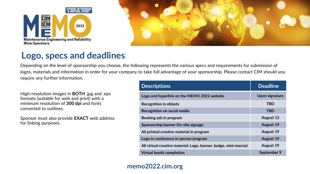



### **Logo, specs and deadlines**

Depending on the level of sponsorship you choose, the following represents the various specs and requirements for submission of logos, materials and information in order for your company to take full advantage of your sponsorship. Please contact CIM should you require any further information.

High-resolution images in **BOTH** .jpg and .eps formats (suitable for web and print) with a minimum resolution of **300 dpi** and fonts converted to outlines.

Sponsor must also provide **EXACT** web address for linking purposes.

| <b>Descriptions</b>                                              | <b>Deadline</b>  |
|------------------------------------------------------------------|------------------|
| Logo and hyperlink on the MEMO 2022 website                      | Upon signature   |
| <b>Recognition in eblasts</b>                                    | <b>TBD</b>       |
| <b>Recognition on social media</b>                               | <b>TBD</b>       |
| Booking ads in program                                           | <b>August 12</b> |
| Sponsorship banner On-site signage                               | <b>August 19</b> |
| All printed creative material in program                         | <b>August 19</b> |
| Logo in conference in-person program                             | <b>August 19</b> |
| All virtual creative material: Logo, banner, badge, mini-mercial | <b>August 19</b> |
| <b>Virtual booth completion</b>                                  | September 9      |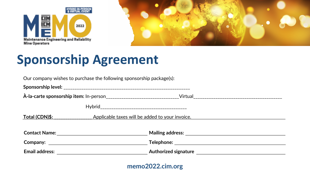



# **Sponsorship Agreement**

| Our company wishes to purchase the following sponsorship package(s): |  |  |  |  |
|----------------------------------------------------------------------|--|--|--|--|
|                                                                      |  |  |  |  |
|                                                                      |  |  |  |  |
|                                                                      |  |  |  |  |
| Total (CDN)\$:<br>Applicable taxes will be added to your invoice.    |  |  |  |  |
|                                                                      |  |  |  |  |
|                                                                      |  |  |  |  |
|                                                                      |  |  |  |  |